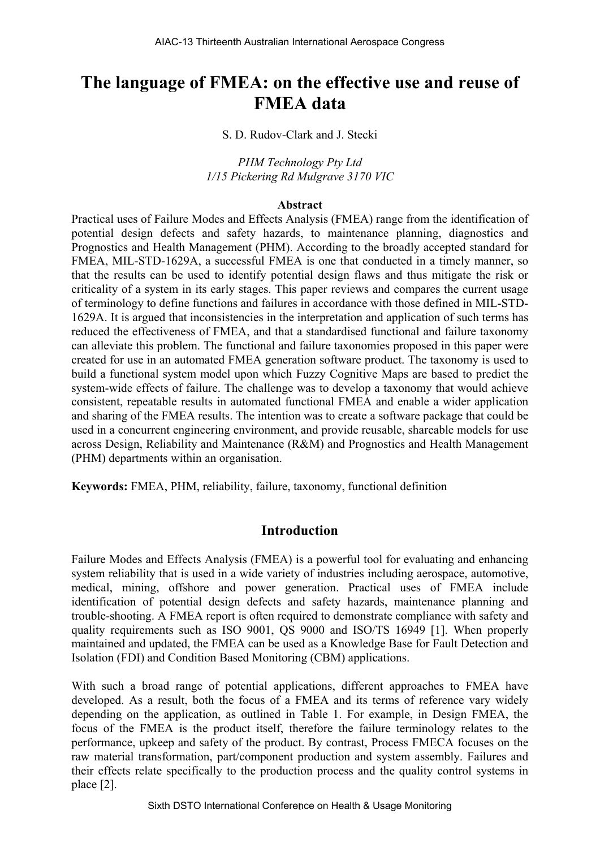# **The language of FMEA: on the effective use and reuse of FMEA data**

S. D. Rudov-Clark and J. Stecki

*PHM Technology Pty Ltd 1/15 Pickering Rd Mulgrave 3170 VIC* 

#### **Abstract**

Practical uses of Failure Modes and Effects Analysis (FMEA) range from the identification of potential design defects and safety hazards, to maintenance planning, diagnostics and Prognostics and Health Management (PHM). According to the broadly accepted standard for FMEA, MIL-STD-1629A, a successful FMEA is one that conducted in a timely manner, so that the results can be used to identify potential design flaws and thus mitigate the risk or criticality of a system in its early stages. This paper reviews and compares the current usage of terminology to define functions and failures in accordance with those defined in MIL-STD-1629A. It is argued that inconsistencies in the interpretation and application of such terms has reduced the effectiveness of FMEA, and that a standardised functional and failure taxonomy can alleviate this problem. The functional and failure taxonomies proposed in this paper were created for use in an automated FMEA generation software product. The taxonomy is used to build a functional system model upon which Fuzzy Cognitive Maps are based to predict the system-wide effects of failure. The challenge was to develop a taxonomy that would achieve consistent, repeatable results in automated functional FMEA and enable a wider application and sharing of the FMEA results. The intention was to create a software package that could be used in a concurrent engineering environment, and provide reusable, shareable models for use across Design, Reliability and Maintenance (R&M) and Prognostics and Health Management (PHM) departments within an organisation.

**Keywords:** FMEA, PHM, reliability, failure, taxonomy, functional definition

## **Introduction**

Failure Modes and Effects Analysis (FMEA) is a powerful tool for evaluating and enhancing system reliability that is used in a wide variety of industries including aerospace, automotive, medical, mining, offshore and power generation. Practical uses of FMEA include identification of potential design defects and safety hazards, maintenance planning and trouble-shooting. A FMEA report is often required to demonstrate compliance with safety and quality requirements such as ISO 9001, QS 9000 and ISO/TS 16949 [1]. When properly maintained and updated, the FMEA can be used as a Knowledge Base for Fault Detection and Isolation (FDI) and Condition Based Monitoring (CBM) applications.

With such a broad range of potential applications, different approaches to FMEA have developed. As a result, both the focus of a FMEA and its terms of reference vary widely depending on the application, as outlined in Table 1. For example, in Design FMEA, the focus of the FMEA is the product itself, therefore the failure terminology relates to the performance, upkeep and safety of the product. By contrast, Process FMECA focuses on the raw material transformation, part/component production and system assembly. Failures and their effects relate specifically to the production process and the quality control systems in place [2].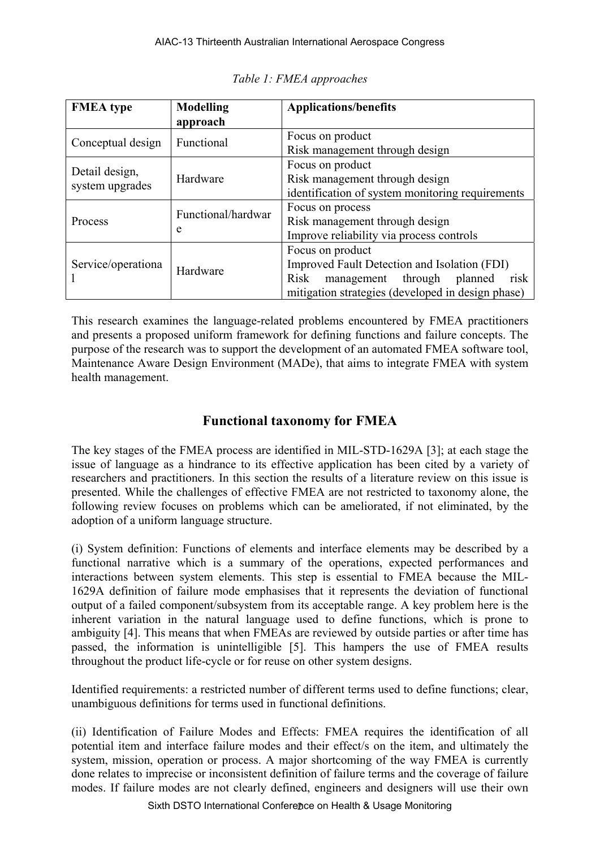| <b>FMEA</b> type                  | <b>Modelling</b>        | <b>Applications/benefits</b>                                                                                                                                              |  |  |
|-----------------------------------|-------------------------|---------------------------------------------------------------------------------------------------------------------------------------------------------------------------|--|--|
|                                   | approach                |                                                                                                                                                                           |  |  |
| Conceptual design                 | Functional              | Focus on product<br>Risk management through design                                                                                                                        |  |  |
| Detail design,<br>system upgrades | Hardware                | Focus on product<br>Risk management through design<br>identification of system monitoring requirements                                                                    |  |  |
| Process                           | Functional/hardwar<br>e | Focus on process<br>Risk management through design<br>Improve reliability via process controls                                                                            |  |  |
| Service/operationa                | Hardware                | Focus on product<br>Improved Fault Detection and Isolation (FDI)<br>risk<br>Risk<br>planned<br>management<br>through<br>mitigation strategies (developed in design phase) |  |  |

*Table 1: FMEA approaches* 

This research examines the language-related problems encountered by FMEA practitioners and presents a proposed uniform framework for defining functions and failure concepts. The purpose of the research was to support the development of an automated FMEA software tool, Maintenance Aware Design Environment (MADe), that aims to integrate FMEA with system health management.

## **Functional taxonomy for FMEA**

The key stages of the FMEA process are identified in MIL-STD-1629A [3]; at each stage the issue of language as a hindrance to its effective application has been cited by a variety of researchers and practitioners. In this section the results of a literature review on this issue is presented. While the challenges of effective FMEA are not restricted to taxonomy alone, the following review focuses on problems which can be ameliorated, if not eliminated, by the adoption of a uniform language structure.

(i) System definition: Functions of elements and interface elements may be described by a functional narrative which is a summary of the operations, expected performances and interactions between system elements. This step is essential to FMEA because the MIL-1629A definition of failure mode emphasises that it represents the deviation of functional output of a failed component/subsystem from its acceptable range. A key problem here is the inherent variation in the natural language used to define functions, which is prone to ambiguity [4]. This means that when FMEAs are reviewed by outside parties or after time has passed, the information is unintelligible [5]. This hampers the use of FMEA results throughout the product life-cycle or for reuse on other system designs.

Identified requirements: a restricted number of different terms used to define functions; clear, unambiguous definitions for terms used in functional definitions.

(ii) Identification of Failure Modes and Effects: FMEA requires the identification of all potential item and interface failure modes and their effect/s on the item, and ultimately the system, mission, operation or process. A major shortcoming of the way FMEA is currently done relates to imprecise or inconsistent definition of failure terms and the coverage of failure modes. If failure modes are not clearly defined, engineers and designers will use their own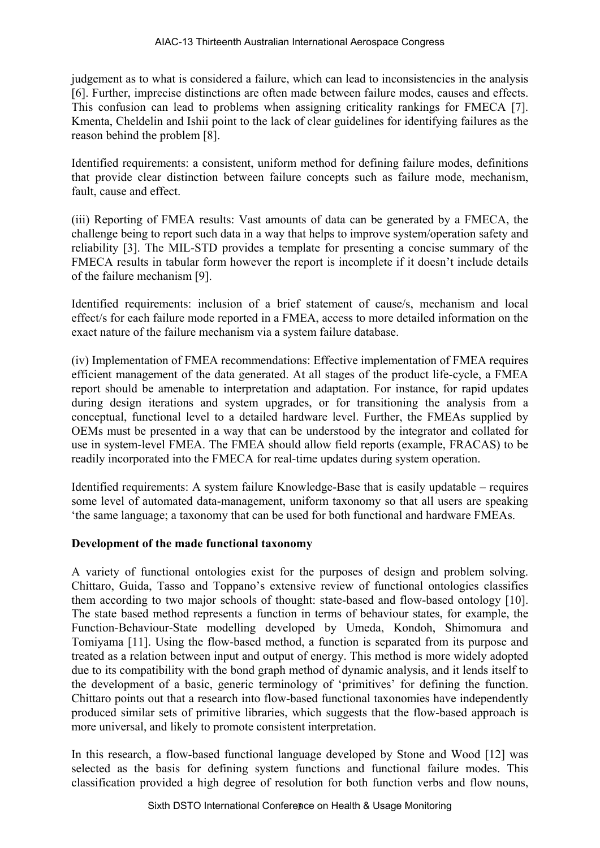judgement as to what is considered a failure, which can lead to inconsistencies in the analysis [6]. Further, imprecise distinctions are often made between failure modes, causes and effects. This confusion can lead to problems when assigning criticality rankings for FMECA [7]. Kmenta, Cheldelin and Ishii point to the lack of clear guidelines for identifying failures as the reason behind the problem [8].

Identified requirements: a consistent, uniform method for defining failure modes, definitions that provide clear distinction between failure concepts such as failure mode, mechanism, fault, cause and effect.

(iii) Reporting of FMEA results: Vast amounts of data can be generated by a FMECA, the challenge being to report such data in a way that helps to improve system/operation safety and reliability [3]. The MIL-STD provides a template for presenting a concise summary of the FMECA results in tabular form however the report is incomplete if it doesn't include details of the failure mechanism [9].

Identified requirements: inclusion of a brief statement of cause/s, mechanism and local effect/s for each failure mode reported in a FMEA, access to more detailed information on the exact nature of the failure mechanism via a system failure database.

(iv) Implementation of FMEA recommendations: Effective implementation of FMEA requires efficient management of the data generated. At all stages of the product life-cycle, a FMEA report should be amenable to interpretation and adaptation. For instance, for rapid updates during design iterations and system upgrades, or for transitioning the analysis from a conceptual, functional level to a detailed hardware level. Further, the FMEAs supplied by OEMs must be presented in a way that can be understood by the integrator and collated for use in system-level FMEA. The FMEA should allow field reports (example, FRACAS) to be readily incorporated into the FMECA for real-time updates during system operation.

Identified requirements: A system failure Knowledge-Base that is easily updatable – requires some level of automated data-management, uniform taxonomy so that all users are speaking 'the same language; a taxonomy that can be used for both functional and hardware FMEAs.

#### **Development of the made functional taxonomy**

A variety of functional ontologies exist for the purposes of design and problem solving. Chittaro, Guida, Tasso and Toppano's extensive review of functional ontologies classifies them according to two major schools of thought: state-based and flow-based ontology [10]. The state based method represents a function in terms of behaviour states, for example, the Function-Behaviour-State modelling developed by Umeda, Kondoh, Shimomura and Tomiyama [11]. Using the flow-based method, a function is separated from its purpose and treated as a relation between input and output of energy. This method is more widely adopted due to its compatibility with the bond graph method of dynamic analysis, and it lends itself to the development of a basic, generic terminology of 'primitives' for defining the function. Chittaro points out that a research into flow-based functional taxonomies have independently produced similar sets of primitive libraries, which suggests that the flow-based approach is more universal, and likely to promote consistent interpretation.

In this research, a flow-based functional language developed by Stone and Wood [12] was selected as the basis for defining system functions and functional failure modes. This classification provided a high degree of resolution for both function verbs and flow nouns,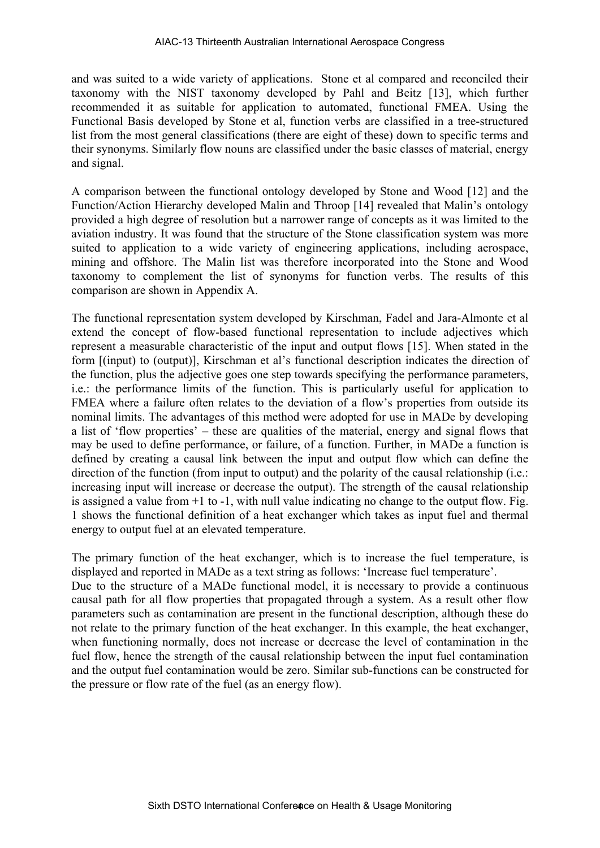and was suited to a wide variety of applications. Stone et al compared and reconciled their taxonomy with the NIST taxonomy developed by Pahl and Beitz [13], which further recommended it as suitable for application to automated, functional FMEA. Using the Functional Basis developed by Stone et al, function verbs are classified in a tree-structured list from the most general classifications (there are eight of these) down to specific terms and their synonyms. Similarly flow nouns are classified under the basic classes of material, energy and signal.

A comparison between the functional ontology developed by Stone and Wood [12] and the Function/Action Hierarchy developed Malin and Throop [14] revealed that Malin's ontology provided a high degree of resolution but a narrower range of concepts as it was limited to the aviation industry. It was found that the structure of the Stone classification system was more suited to application to a wide variety of engineering applications, including aerospace, mining and offshore. The Malin list was therefore incorporated into the Stone and Wood taxonomy to complement the list of synonyms for function verbs. The results of this comparison are shown in Appendix A.

The functional representation system developed by Kirschman, Fadel and Jara-Almonte et al extend the concept of flow-based functional representation to include adjectives which represent a measurable characteristic of the input and output flows [15]. When stated in the form [(input) to (output)], Kirschman et al's functional description indicates the direction of the function, plus the adjective goes one step towards specifying the performance parameters, i.e.: the performance limits of the function. This is particularly useful for application to FMEA where a failure often relates to the deviation of a flow's properties from outside its nominal limits. The advantages of this method were adopted for use in MADe by developing a list of 'flow properties' – these are qualities of the material, energy and signal flows that may be used to define performance, or failure, of a function. Further, in MADe a function is defined by creating a causal link between the input and output flow which can define the direction of the function (from input to output) and the polarity of the causal relationship (i.e.: increasing input will increase or decrease the output). The strength of the causal relationship is assigned a value from  $+1$  to  $-1$ , with null value indicating no change to the output flow. Fig. 1 shows the functional definition of a heat exchanger which takes as input fuel and thermal energy to output fuel at an elevated temperature.

The primary function of the heat exchanger, which is to increase the fuel temperature, is displayed and reported in MADe as a text string as follows: 'Increase fuel temperature'. Due to the structure of a MADe functional model, it is necessary to provide a continuous causal path for all flow properties that propagated through a system. As a result other flow parameters such as contamination are present in the functional description, although these do not relate to the primary function of the heat exchanger. In this example, the heat exchanger, when functioning normally, does not increase or decrease the level of contamination in the fuel flow, hence the strength of the causal relationship between the input fuel contamination and the output fuel contamination would be zero. Similar sub-functions can be constructed for the pressure or flow rate of the fuel (as an energy flow).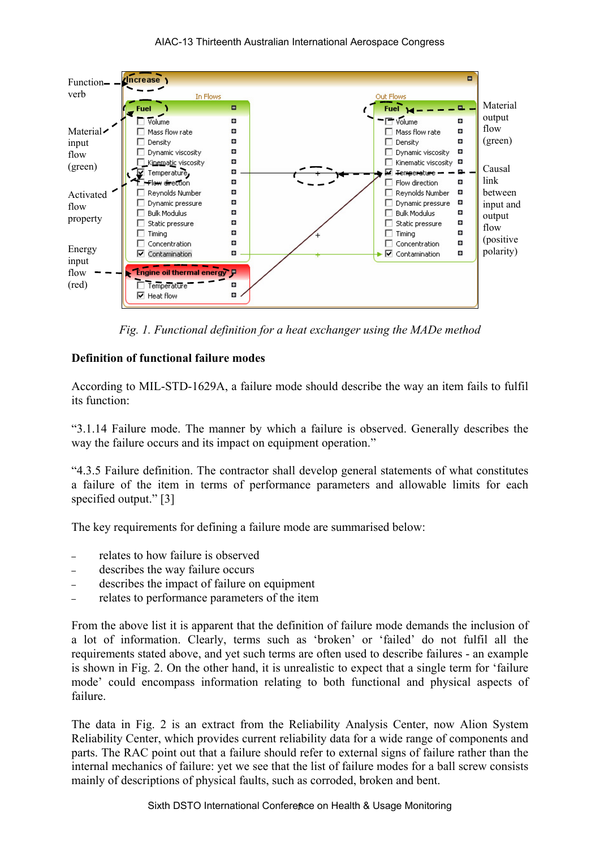#### AIAC-13 Thirteenth Australian International Aerospace Congress



*Fig. 1. Functional definition for a heat exchanger using the MADe method* 

#### **Definition of functional failure modes**

According to MIL-STD-1629A, a failure mode should describe the way an item fails to fulfil its function:

"3.1.14 Failure mode. The manner by which a failure is observed. Generally describes the way the failure occurs and its impact on equipment operation."

"4.3.5 Failure definition. The contractor shall develop general statements of what constitutes a failure of the item in terms of performance parameters and allowable limits for each specified output." [3]

The key requirements for defining a failure mode are summarised below:

- relates to how failure is observed
- describes the way failure occurs
- describes the impact of failure on equipment
- relates to performance parameters of the item

From the above list it is apparent that the definition of failure mode demands the inclusion of a lot of information. Clearly, terms such as 'broken' or 'failed' do not fulfil all the requirements stated above, and yet such terms are often used to describe failures - an example is shown in Fig. 2. On the other hand, it is unrealistic to expect that a single term for 'failure mode' could encompass information relating to both functional and physical aspects of failure.

The data in Fig. 2 is an extract from the Reliability Analysis Center, now Alion System Reliability Center, which provides current reliability data for a wide range of components and parts. The RAC point out that a failure should refer to external signs of failure rather than the internal mechanics of failure: yet we see that the list of failure modes for a ball screw consists mainly of descriptions of physical faults, such as corroded, broken and bent.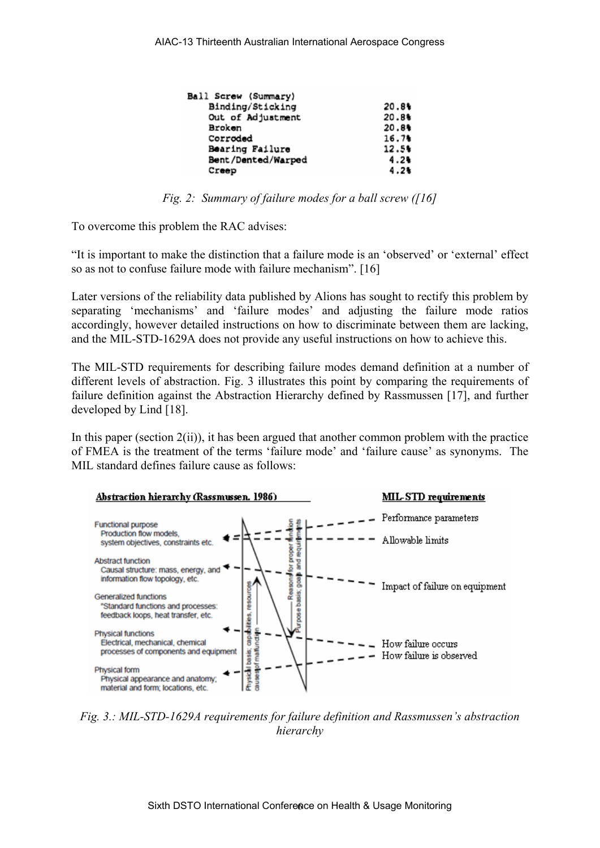| Ball Screw (Summary) |       |
|----------------------|-------|
| Binding/Sticking     | 20.8% |
| Out of Adjustment    | 20.8% |
| Broken               | 20.8% |
| Corroded             | 16.7% |
| Bearing Failure      | 12.5% |
| Bent/Dented/Warped   | 4.24  |
| Creep                | 4.2%  |

*Fig. 2: Summary of failure modes for a ball screw ([16]* 

To overcome this problem the RAC advises:

"It is important to make the distinction that a failure mode is an 'observed' or 'external' effect so as not to confuse failure mode with failure mechanism". [16]

Later versions of the reliability data published by Alions has sought to rectify this problem by separating 'mechanisms' and 'failure modes' and adjusting the failure mode ratios accordingly, however detailed instructions on how to discriminate between them are lacking, and the MIL-STD-1629A does not provide any useful instructions on how to achieve this.

The MIL-STD requirements for describing failure modes demand definition at a number of different levels of abstraction. Fig. 3 illustrates this point by comparing the requirements of failure definition against the Abstraction Hierarchy defined by Rassmussen [17], and further developed by Lind [18].

In this paper (section  $2(ii)$ ), it has been argued that another common problem with the practice of FMEA is the treatment of the terms 'failure mode' and 'failure cause' as synonyms. The MIL standard defines failure cause as follows:



*Fig. 3.: MIL-STD-1629A requirements for failure definition and Rassmussen's abstraction hierarchy*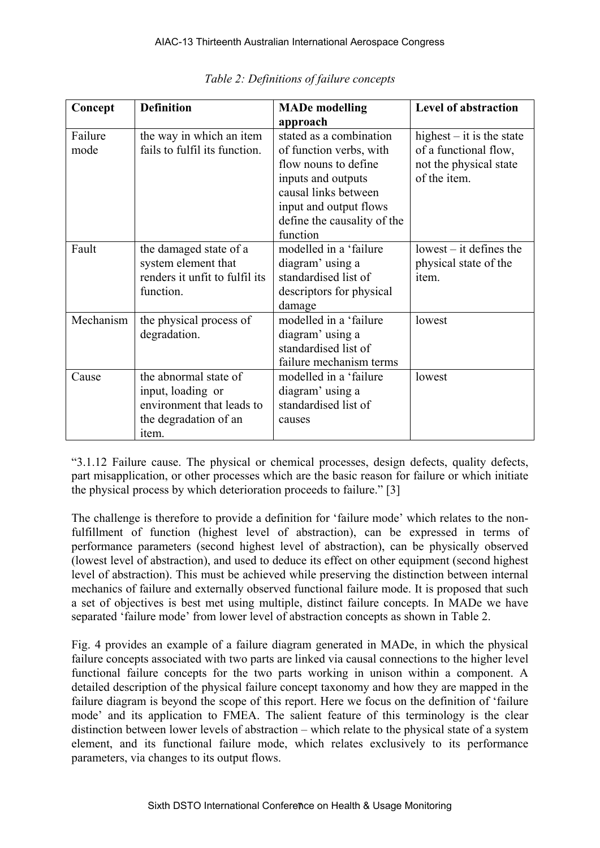| Concept   | <b>Definition</b>              | <b>MADe modelling</b>       | <b>Level of abstraction</b> |
|-----------|--------------------------------|-----------------------------|-----------------------------|
|           |                                | approach                    |                             |
| Failure   | the way in which an item       | stated as a combination     | highest $-$ it is the state |
| mode      | fails to fulfil its function.  | of function verbs, with     | of a functional flow,       |
|           |                                | flow nouns to define        | not the physical state      |
|           |                                | inputs and outputs          | of the item.                |
|           |                                | causal links between        |                             |
|           |                                | input and output flows      |                             |
|           |                                | define the causality of the |                             |
|           |                                | function                    |                             |
| Fault     | the damaged state of a         | modelled in a 'failure      | $lowest - it defines the$   |
|           | system element that            | diagram' using a            | physical state of the       |
|           | renders it unfit to fulfil its | standardised list of        | item.                       |
|           | function.                      | descriptors for physical    |                             |
|           |                                | damage                      |                             |
| Mechanism | the physical process of        | modelled in a 'failure      | lowest                      |
|           | degradation.                   | diagram' using a            |                             |
|           |                                | standardised list of        |                             |
|           |                                | failure mechanism terms     |                             |
| Cause     | the abnormal state of          | modelled in a 'failure      | lowest                      |
|           | input, loading or              | diagram' using a            |                             |
|           | environment that leads to      | standardised list of        |                             |
|           | the degradation of an          | causes                      |                             |
|           | item.                          |                             |                             |

"3.1.12 Failure cause. The physical or chemical processes, design defects, quality defects, part misapplication, or other processes which are the basic reason for failure or which initiate the physical process by which deterioration proceeds to failure." [3]

The challenge is therefore to provide a definition for 'failure mode' which relates to the nonfulfillment of function (highest level of abstraction), can be expressed in terms of performance parameters (second highest level of abstraction), can be physically observed (lowest level of abstraction), and used to deduce its effect on other equipment (second highest level of abstraction). This must be achieved while preserving the distinction between internal mechanics of failure and externally observed functional failure mode. It is proposed that such a set of objectives is best met using multiple, distinct failure concepts. In MADe we have separated 'failure mode' from lower level of abstraction concepts as shown in Table 2.

Fig. 4 provides an example of a failure diagram generated in MADe, in which the physical failure concepts associated with two parts are linked via causal connections to the higher level functional failure concepts for the two parts working in unison within a component. A detailed description of the physical failure concept taxonomy and how they are mapped in the failure diagram is beyond the scope of this report. Here we focus on the definition of 'failure mode' and its application to FMEA. The salient feature of this terminology is the clear distinction between lower levels of abstraction – which relate to the physical state of a system element, and its functional failure mode, which relates exclusively to its performance parameters, via changes to its output flows.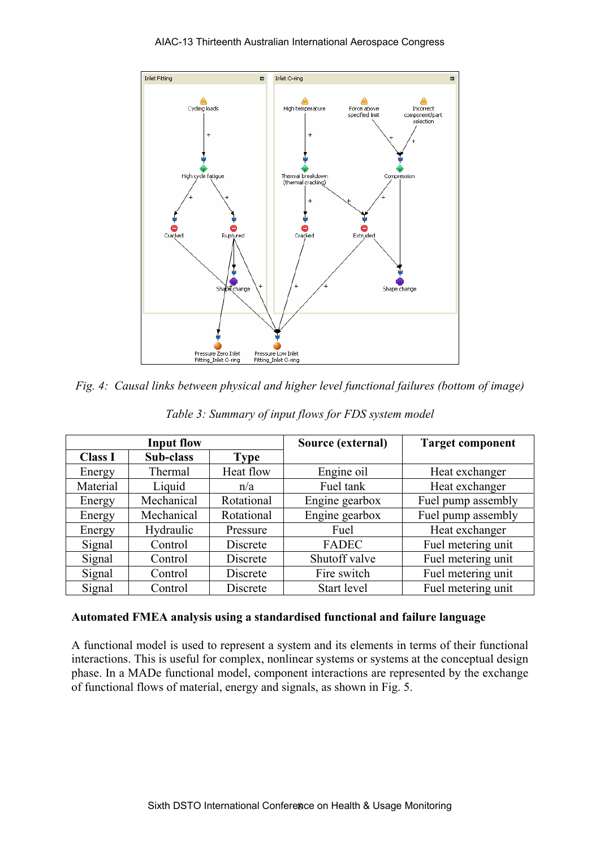

*Fig. 4: Causal links between physical and higher level functional failures (bottom of image)* 

| <b>Input flow</b> |            |            | Source (external) | <b>Target component</b> |
|-------------------|------------|------------|-------------------|-------------------------|
| <b>Class I</b>    | Sub-class  | Type       |                   |                         |
| Energy            | Thermal    | Heat flow  | Engine oil        | Heat exchanger          |
| Material          | Liquid     |            | Fuel tank         | Heat exchanger          |
| Energy            | Mechanical | Rotational | Engine gearbox    | Fuel pump assembly      |
| Energy            | Mechanical | Rotational | Engine gearbox    | Fuel pump assembly      |
| Energy            | Hydraulic  | Pressure   | Fuel              | Heat exchanger          |
| Signal            | Control    | Discrete   | <b>FADEC</b>      | Fuel metering unit      |
| Signal            | Control    | Discrete   | Shutoff valve     | Fuel metering unit      |
| Signal            | Control    | Discrete   | Fire switch       | Fuel metering unit      |
| Signal            | Control    | Discrete   | Start level       | Fuel metering unit      |

*Table 3: Summary of input flows for FDS system model* 

#### **Automated FMEA analysis using a standardised functional and failure language**

A functional model is used to represent a system and its elements in terms of their functional interactions. This is useful for complex, nonlinear systems or systems at the conceptual design phase. In a MADe functional model, component interactions are represented by the exchange of functional flows of material, energy and signals, as shown in Fig. 5.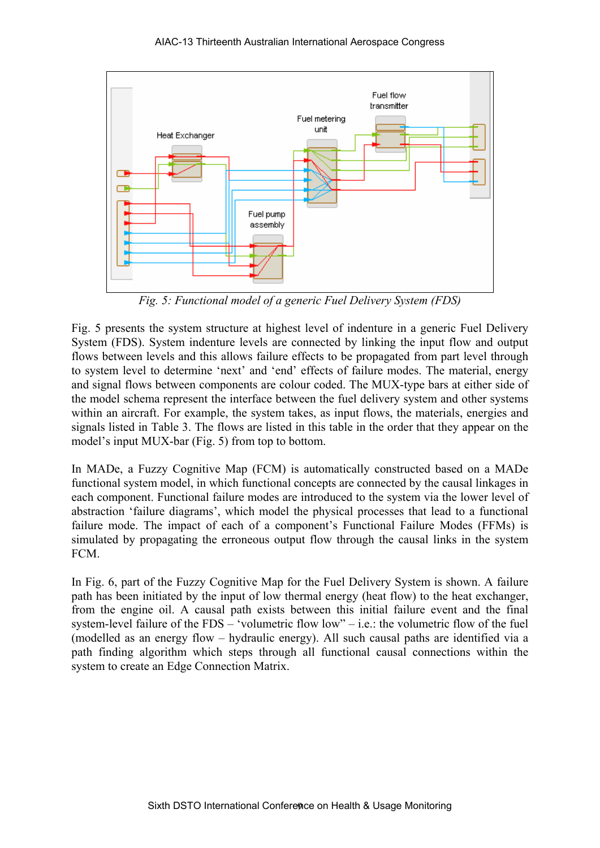

*Fig. 5: Functional model of a generic Fuel Delivery System (FDS)* 

Fig. 5 presents the system structure at highest level of indenture in a generic Fuel Delivery System (FDS). System indenture levels are connected by linking the input flow and output flows between levels and this allows failure effects to be propagated from part level through to system level to determine 'next' and 'end' effects of failure modes. The material, energy and signal flows between components are colour coded. The MUX-type bars at either side of the model schema represent the interface between the fuel delivery system and other systems within an aircraft. For example, the system takes, as input flows, the materials, energies and signals listed in Table 3. The flows are listed in this table in the order that they appear on the model's input MUX-bar (Fig. 5) from top to bottom.

In MADe, a Fuzzy Cognitive Map (FCM) is automatically constructed based on a MADe functional system model, in which functional concepts are connected by the causal linkages in each component. Functional failure modes are introduced to the system via the lower level of abstraction 'failure diagrams', which model the physical processes that lead to a functional failure mode. The impact of each of a component's Functional Failure Modes (FFMs) is simulated by propagating the erroneous output flow through the causal links in the system FCM.

In Fig. 6, part of the Fuzzy Cognitive Map for the Fuel Delivery System is shown. A failure path has been initiated by the input of low thermal energy (heat flow) to the heat exchanger, from the engine oil. A causal path exists between this initial failure event and the final system-level failure of the FDS – 'volumetric flow low" – i.e.: the volumetric flow of the fuel (modelled as an energy flow – hydraulic energy). All such causal paths are identified via a path finding algorithm which steps through all functional causal connections within the system to create an Edge Connection Matrix.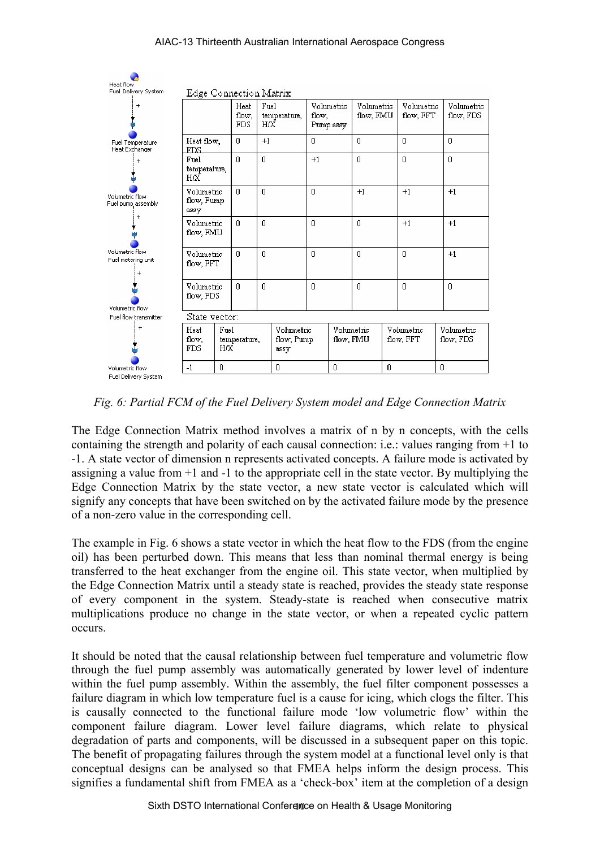

*Fig. 6: Partial FCM of the Fuel Delivery System model and Edge Connection Matrix* 

The Edge Connection Matrix method involves a matrix of n by n concepts, with the cells containing the strength and polarity of each causal connection: i.e.: values ranging from +1 to -1. A state vector of dimension n represents activated concepts. A failure mode is activated by assigning a value from +1 and -1 to the appropriate cell in the state vector. By multiplying the Edge Connection Matrix by the state vector, a new state vector is calculated which will signify any concepts that have been switched on by the activated failure mode by the presence of a non-zero value in the corresponding cell.

The example in Fig. 6 shows a state vector in which the heat flow to the FDS (from the engine oil) has been perturbed down. This means that less than nominal thermal energy is being transferred to the heat exchanger from the engine oil. This state vector, when multiplied by the Edge Connection Matrix until a steady state is reached, provides the steady state response of every component in the system. Steady-state is reached when consecutive matrix multiplications produce no change in the state vector, or when a repeated cyclic pattern occurs.

It should be noted that the causal relationship between fuel temperature and volumetric flow through the fuel pump assembly was automatically generated by lower level of indenture within the fuel pump assembly. Within the assembly, the fuel filter component possesses a failure diagram in which low temperature fuel is a cause for icing, which clogs the filter. This is causally connected to the functional failure mode 'low volumetric flow' within the component failure diagram. Lower level failure diagrams, which relate to physical degradation of parts and components, will be discussed in a subsequent paper on this topic. The benefit of propagating failures through the system model at a functional level only is that conceptual designs can be analysed so that FMEA helps inform the design process. This signifies a fundamental shift from FMEA as a 'check-box' item at the completion of a design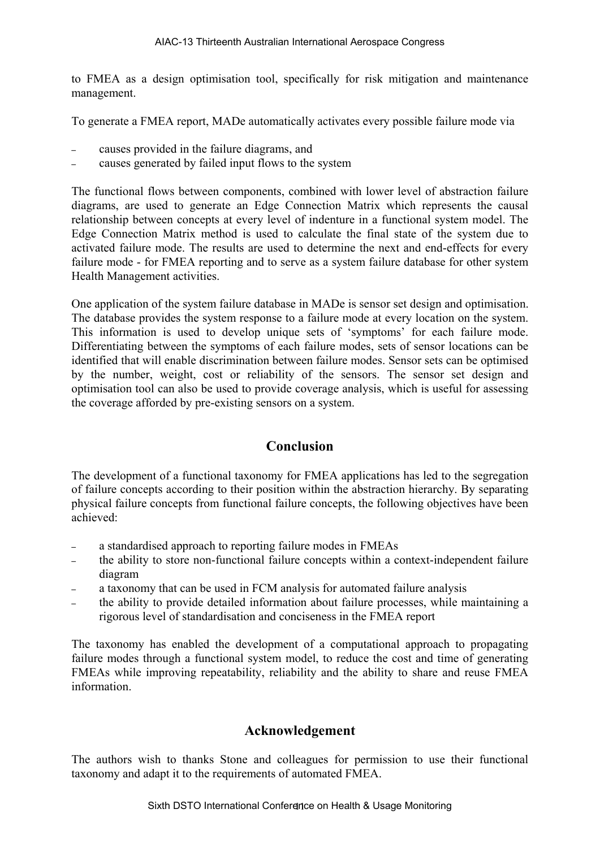to FMEA as a design optimisation tool, specifically for risk mitigation and maintenance management.

To generate a FMEA report, MADe automatically activates every possible failure mode via

- causes provided in the failure diagrams, and
- causes generated by failed input flows to the system

The functional flows between components, combined with lower level of abstraction failure diagrams, are used to generate an Edge Connection Matrix which represents the causal relationship between concepts at every level of indenture in a functional system model. The Edge Connection Matrix method is used to calculate the final state of the system due to activated failure mode. The results are used to determine the next and end-effects for every failure mode - for FMEA reporting and to serve as a system failure database for other system Health Management activities.

One application of the system failure database in MADe is sensor set design and optimisation. The database provides the system response to a failure mode at every location on the system. This information is used to develop unique sets of 'symptoms' for each failure mode. Differentiating between the symptoms of each failure modes, sets of sensor locations can be identified that will enable discrimination between failure modes. Sensor sets can be optimised by the number, weight, cost or reliability of the sensors. The sensor set design and optimisation tool can also be used to provide coverage analysis, which is useful for assessing the coverage afforded by pre-existing sensors on a system.

## **Conclusion**

The development of a functional taxonomy for FMEA applications has led to the segregation of failure concepts according to their position within the abstraction hierarchy. By separating physical failure concepts from functional failure concepts, the following objectives have been achieved:

- a standardised approach to reporting failure modes in FMEAs
- the ability to store non-functional failure concepts within a context-independent failure diagram
- a taxonomy that can be used in FCM analysis for automated failure analysis
- the ability to provide detailed information about failure processes, while maintaining a rigorous level of standardisation and conciseness in the FMEA report

The taxonomy has enabled the development of a computational approach to propagating failure modes through a functional system model, to reduce the cost and time of generating FMEAs while improving repeatability, reliability and the ability to share and reuse FMEA information.

#### **Acknowledgement**

The authors wish to thanks Stone and colleagues for permission to use their functional taxonomy and adapt it to the requirements of automated FMEA.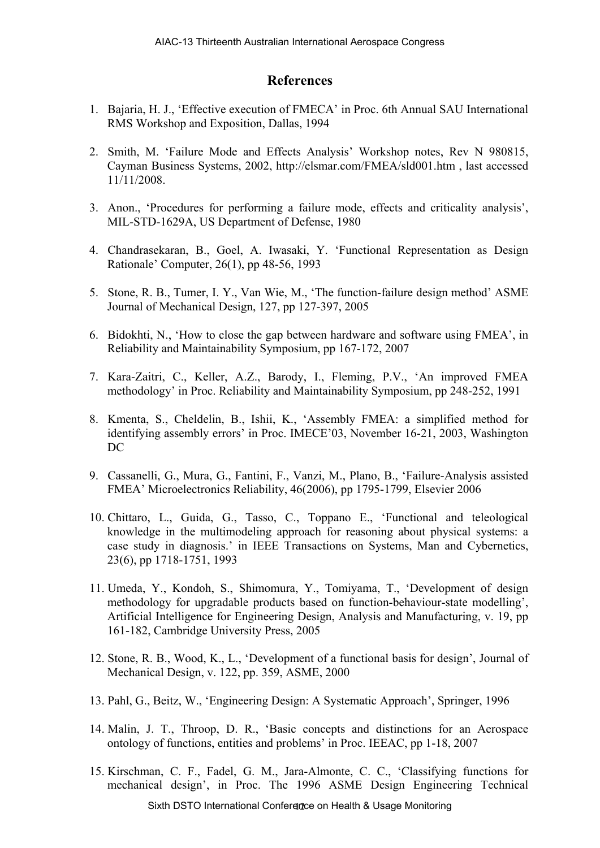## **References**

- 1. Bajaria, H. J., 'Effective execution of FMECA' in Proc. 6th Annual SAU International RMS Workshop and Exposition, Dallas, 1994
- 2. Smith, M. 'Failure Mode and Effects Analysis' Workshop notes, Rev N 980815, Cayman Business Systems, 2002, http://elsmar.com/FMEA/sld001.htm , last accessed 11/11/2008.
- 3. Anon., 'Procedures for performing a failure mode, effects and criticality analysis', MIL-STD-1629A, US Department of Defense, 1980
- 4. Chandrasekaran, B., Goel, A. Iwasaki, Y. 'Functional Representation as Design Rationale' Computer, 26(1), pp 48-56, 1993
- 5. Stone, R. B., Tumer, I. Y., Van Wie, M., 'The function-failure design method' ASME Journal of Mechanical Design, 127, pp 127-397, 2005
- 6. Bidokhti, N., 'How to close the gap between hardware and software using FMEA', in Reliability and Maintainability Symposium, pp 167-172, 2007
- 7. Kara-Zaitri, C., Keller, A.Z., Barody, I., Fleming, P.V., 'An improved FMEA methodology' in Proc. Reliability and Maintainability Symposium, pp 248-252, 1991
- 8. Kmenta, S., Cheldelin, B., Ishii, K., 'Assembly FMEA: a simplified method for identifying assembly errors' in Proc. IMECE'03, November 16-21, 2003, Washington DC
- 9. Cassanelli, G., Mura, G., Fantini, F., Vanzi, M., Plano, B., 'Failure-Analysis assisted FMEA' Microelectronics Reliability, 46(2006), pp 1795-1799, Elsevier 2006
- 10. Chittaro, L., Guida, G., Tasso, C., Toppano E., 'Functional and teleological knowledge in the multimodeling approach for reasoning about physical systems: a case study in diagnosis.' in IEEE Transactions on Systems, Man and Cybernetics, 23(6), pp 1718-1751, 1993
- 11. Umeda, Y., Kondoh, S., Shimomura, Y., Tomiyama, T., 'Development of design methodology for upgradable products based on function-behaviour-state modelling', Artificial Intelligence for Engineering Design, Analysis and Manufacturing, v. 19, pp 161-182, Cambridge University Press, 2005
- 12. Stone, R. B., Wood, K., L., 'Development of a functional basis for design', Journal of Mechanical Design, v. 122, pp. 359, ASME, 2000
- 13. Pahl, G., Beitz, W., 'Engineering Design: A Systematic Approach', Springer, 1996
- 14. Malin, J. T., Throop, D. R., 'Basic concepts and distinctions for an Aerospace ontology of functions, entities and problems' in Proc. IEEAC, pp 1-18, 2007
- 15. Kirschman, C. F., Fadel, G. M., Jara-Almonte, C. C., 'Classifying functions for mechanical design', in Proc. The 1996 ASME Design Engineering Technical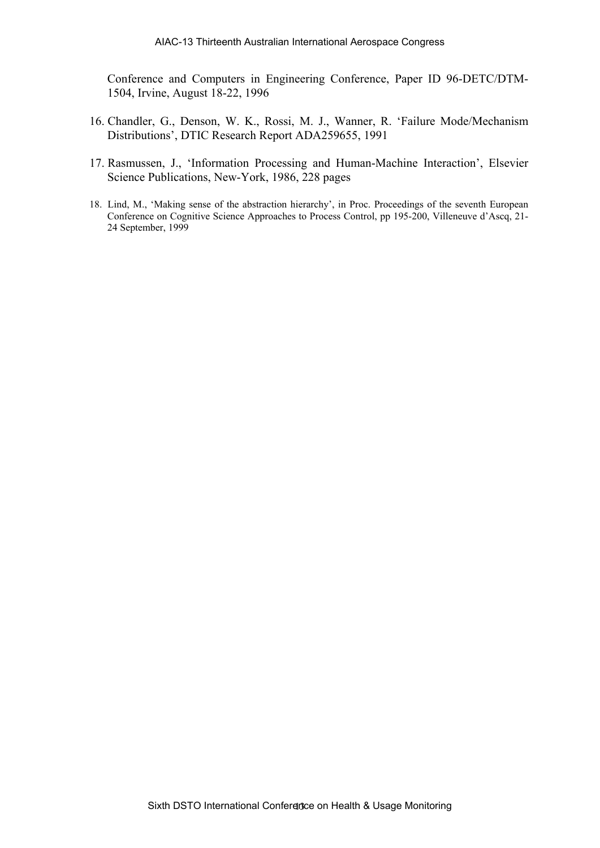Conference and Computers in Engineering Conference, Paper ID 96-DETC/DTM-1504, Irvine, August 18-22, 1996

- 16. Chandler, G., Denson, W. K., Rossi, M. J., Wanner, R. 'Failure Mode/Mechanism Distributions', DTIC Research Report ADA259655, 1991
- 17. Rasmussen, J., 'Information Processing and Human-Machine Interaction', Elsevier Science Publications, New-York, 1986, 228 pages
- 18. Lind, M., 'Making sense of the abstraction hierarchy', in Proc. Proceedings of the seventh European Conference on Cognitive Science Approaches to Process Control, pp 195-200, Villeneuve d'Ascq, 21- 24 September, 1999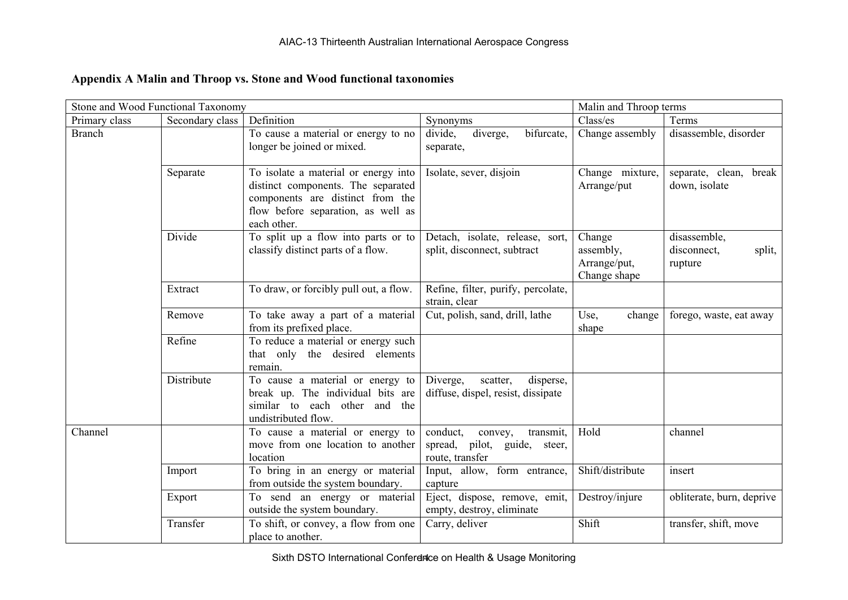# **Appendix A Malin and Throop vs. Stone and Wood functional taxonomies**

| Stone and Wood Functional Taxonomy |                 |                                                                                                                                                                     |                                                                                        | Malin and Throop terms                              |                                                  |
|------------------------------------|-----------------|---------------------------------------------------------------------------------------------------------------------------------------------------------------------|----------------------------------------------------------------------------------------|-----------------------------------------------------|--------------------------------------------------|
| Primary class                      | Secondary class | Definition                                                                                                                                                          | Synonyms                                                                               | Class/es                                            | Terms                                            |
| <b>Branch</b>                      |                 | To cause a material or energy to no<br>longer be joined or mixed.                                                                                                   | diverge,<br>divide,<br>bifurcate,<br>separate,                                         | Change assembly                                     | disassemble, disorder                            |
|                                    | Separate        | To isolate a material or energy into<br>distinct components. The separated<br>components are distinct from the<br>flow before separation, as well as<br>each other. | Isolate, sever, disjoin                                                                | Change mixture,<br>Arrange/put                      | separate, clean, break<br>down, isolate          |
|                                    | Divide          | To split up a flow into parts or to<br>classify distinct parts of a flow.                                                                                           | Detach, isolate, release, sort,<br>split, disconnect, subtract                         | Change<br>assembly,<br>Arrange/put,<br>Change shape | disassemble,<br>disconnect,<br>split,<br>rupture |
|                                    | Extract         | To draw, or forcibly pull out, a flow.                                                                                                                              | Refine, filter, purify, percolate,<br>strain, clear                                    |                                                     |                                                  |
|                                    | Remove          | To take away a part of a material<br>from its prefixed place.                                                                                                       | Cut, polish, sand, drill, lathe                                                        | Use,<br>change<br>shape                             | forego, waste, eat away                          |
|                                    | Refine          | To reduce a material or energy such<br>that only the desired elements<br>remain.                                                                                    |                                                                                        |                                                     |                                                  |
|                                    | Distribute      | To cause a material or energy to<br>break up. The individual bits are<br>similar to each other and the<br>undistributed flow.                                       | Diverge,<br>disperse,<br>scatter,<br>diffuse, dispel, resist, dissipate                |                                                     |                                                  |
| Channel                            |                 | To cause a material or energy to<br>move from one location to another<br>location                                                                                   | conduct,<br>convey,<br>transmit,<br>spread, pilot, guide,<br>steer,<br>route, transfer | Hold                                                | channel                                          |
|                                    | Import          | To bring in an energy or material<br>from outside the system boundary.                                                                                              | Input, allow, form entrance,<br>capture                                                | Shift/distribute                                    | insert                                           |
|                                    | Export          | To send an energy or material<br>outside the system boundary.                                                                                                       | Eject, dispose, remove, emit,<br>empty, destroy, eliminate                             | Destroy/injure                                      | obliterate, burn, deprive                        |
|                                    | Transfer        | To shift, or convey, a flow from one<br>place to another.                                                                                                           | Carry, deliver                                                                         | Shift                                               | transfer, shift, move                            |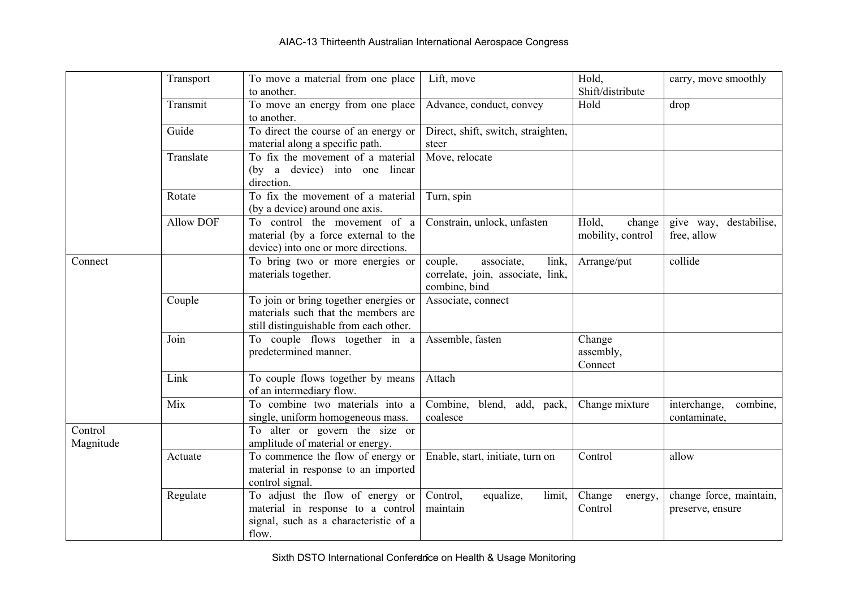|                      | Transport        | To move a material from one place<br>to another.                                                                       | Lift, move                                                                           | Hold,<br>Shift/distribute            | carry, move smoothly                        |
|----------------------|------------------|------------------------------------------------------------------------------------------------------------------------|--------------------------------------------------------------------------------------|--------------------------------------|---------------------------------------------|
|                      | Transmit         | To move an energy from one place<br>to another.                                                                        | Advance, conduct, convey                                                             | Hold                                 | drop                                        |
|                      | Guide            | To direct the course of an energy or<br>material along a specific path.                                                | Direct, shift, switch, straighten,<br>steer                                          |                                      |                                             |
|                      | Translate        | To fix the movement of a material<br>(by a device) into one linear<br>direction.                                       | Move, relocate                                                                       |                                      |                                             |
|                      | Rotate           | To fix the movement of a material<br>(by a device) around one axis.                                                    | Turn, spin                                                                           |                                      |                                             |
|                      | <b>Allow DOF</b> | To control the movement of a<br>material (by a force external to the<br>device) into one or more directions.           | Constrain, unlock, unfasten                                                          | Hold,<br>change<br>mobility, control | destabilise,<br>give way,<br>free, allow    |
| Connect              |                  | To bring two or more energies or<br>materials together.                                                                | associate,<br>couple,<br>link,<br>correlate, join, associate, link,<br>combine, bind | Arrange/put                          | collide                                     |
|                      | Couple           | To join or bring together energies or<br>materials such that the members are<br>still distinguishable from each other. | Associate, connect                                                                   |                                      |                                             |
|                      | Join             | To couple flows together in a<br>predetermined manner.                                                                 | Assemble, fasten                                                                     | Change<br>assembly,<br>Connect       |                                             |
|                      | Link             | To couple flows together by means<br>of an intermediary flow.                                                          | Attach                                                                               |                                      |                                             |
|                      | Mix              | To combine two materials into a<br>single, uniform homogeneous mass.                                                   | Combine, blend, add, pack,<br>coalesce                                               | Change mixture                       | combine,<br>interchange,<br>contaminate,    |
| Control<br>Magnitude |                  | To alter or govern the size or<br>amplitude of material or energy.                                                     |                                                                                      |                                      |                                             |
|                      | Actuate          | To commence the flow of energy or<br>material in response to an imported<br>control signal.                            | Enable, start, initiate, turn on                                                     | Control                              | allow                                       |
|                      | Regulate         | To adjust the flow of energy or<br>material in response to a control<br>signal, such as a characteristic of a<br>flow. | Control,<br>equalize,<br>limit,<br>maintain                                          | Change<br>energy,<br>Control         | change force, maintain,<br>preserve, ensure |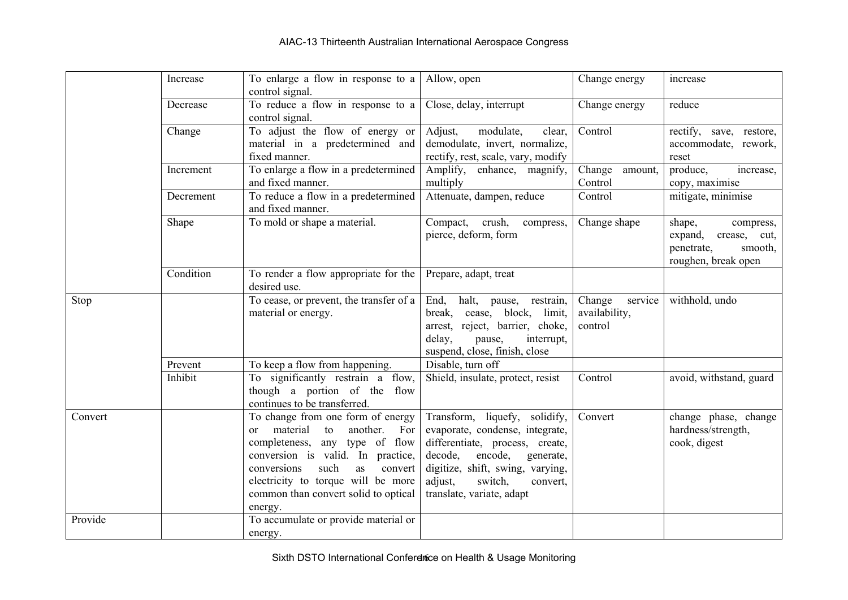|         | Increase  | To enlarge a flow in response to a<br>control signal.                                                                                                                                                                                                                                         | Allow, open                                                                                                                                                                                                                                  | Change energy                                 | increase                                                                                       |
|---------|-----------|-----------------------------------------------------------------------------------------------------------------------------------------------------------------------------------------------------------------------------------------------------------------------------------------------|----------------------------------------------------------------------------------------------------------------------------------------------------------------------------------------------------------------------------------------------|-----------------------------------------------|------------------------------------------------------------------------------------------------|
|         | Decrease  | To reduce a flow in response to a<br>control signal.                                                                                                                                                                                                                                          | Close, delay, interrupt                                                                                                                                                                                                                      | Change energy                                 | reduce                                                                                         |
|         | Change    | To adjust the flow of energy or<br>material in a predetermined and<br>fixed manner.                                                                                                                                                                                                           | Adjust,<br>modulate,<br>clear,<br>demodulate, invert, normalize,<br>rectify, rest, scale, vary, modify                                                                                                                                       | Control                                       | rectify, save, restore,<br>accommodate, rework,<br>reset                                       |
|         | Increment | To enlarge a flow in a predetermined<br>and fixed manner.                                                                                                                                                                                                                                     | Amplify, enhance, magnify,<br>multiply                                                                                                                                                                                                       | Change<br>amount,<br>Control                  | produce,<br>increase,<br>copy, maximise                                                        |
|         | Decrement | To reduce a flow in a predetermined<br>and fixed manner.                                                                                                                                                                                                                                      | Attenuate, dampen, reduce                                                                                                                                                                                                                    | Control                                       | mitigate, minimise                                                                             |
|         | Shape     | To mold or shape a material.                                                                                                                                                                                                                                                                  | crush,<br>Compact,<br>compress,<br>pierce, deform, form                                                                                                                                                                                      | Change shape                                  | shape,<br>compress,<br>expand,<br>crease, cut,<br>smooth,<br>penetrate,<br>roughen, break open |
|         | Condition | To render a flow appropriate for the<br>desired use.                                                                                                                                                                                                                                          | Prepare, adapt, treat                                                                                                                                                                                                                        |                                               |                                                                                                |
| Stop    |           | To cease, or prevent, the transfer of a<br>material or energy.                                                                                                                                                                                                                                | End,<br>halt, pause,<br>restrain,<br>block, limit,<br>break,<br>cease,<br>arrest, reject, barrier, choke,<br>delay,<br>interrupt,<br>pause,<br>suspend, close, finish, close                                                                 | Change<br>service<br>availability,<br>control | withhold, undo                                                                                 |
|         | Prevent   | To keep a flow from happening.                                                                                                                                                                                                                                                                | Disable, turn off                                                                                                                                                                                                                            |                                               |                                                                                                |
|         | Inhibit   | To significantly restrain a flow,<br>though a portion of the flow<br>continues to be transferred.                                                                                                                                                                                             | Shield, insulate, protect, resist                                                                                                                                                                                                            | Control                                       | avoid, withstand, guard                                                                        |
| Convert |           | To change from one form of energy<br>material<br>to<br>another.<br>For<br>$\alpha$<br>any type of flow<br>completeness,<br>conversion is valid. In practice,<br>conversions<br>such<br>convert<br>as<br>electricity to torque will be more<br>common than convert solid to optical<br>energy. | Transform, liquefy,<br>solidify,<br>evaporate, condense, integrate,<br>differentiate, process, create,<br>encode,<br>decode,<br>generate,<br>digitize, shift, swing, varying,<br>adjust,<br>switch,<br>convert,<br>translate, variate, adapt | Convert                                       | change phase, change<br>hardness/strength,<br>cook, digest                                     |
| Provide |           | To accumulate or provide material or<br>energy.                                                                                                                                                                                                                                               |                                                                                                                                                                                                                                              |                                               |                                                                                                |